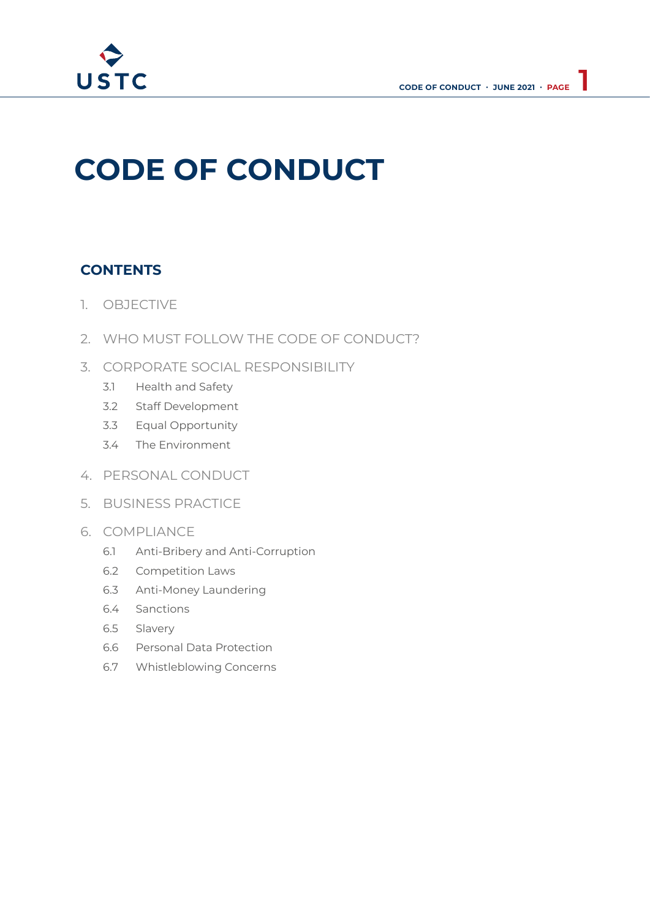

# **CODE OF CONDUCT**

# **CONTENTS**

- 1. OBJECTIVE
- 2. WHO MUST FOLLOW THE CODE OF CONDUCT?
- 3. CORPORATE SOCIAL RESPONSIBILITY
	- 3.1 Health and Safety
	- 3.2 Staff Development
	- 3.3 Equal Opportunity
	- 3.4 The Environment
- 4. PERSONAL CONDUCT
- 5. BUSINESS PRACTICE
- 6. COMPLIANCE
	- 6.1 Anti-Bribery and Anti-Corruption
	- 6.2 Competition Laws
	- 6.3 Anti-Money Laundering
	- 6.4 Sanctions
	- 6.5 Slavery
	- 6.6 Personal Data Protection
	- 6.7 Whistleblowing Concerns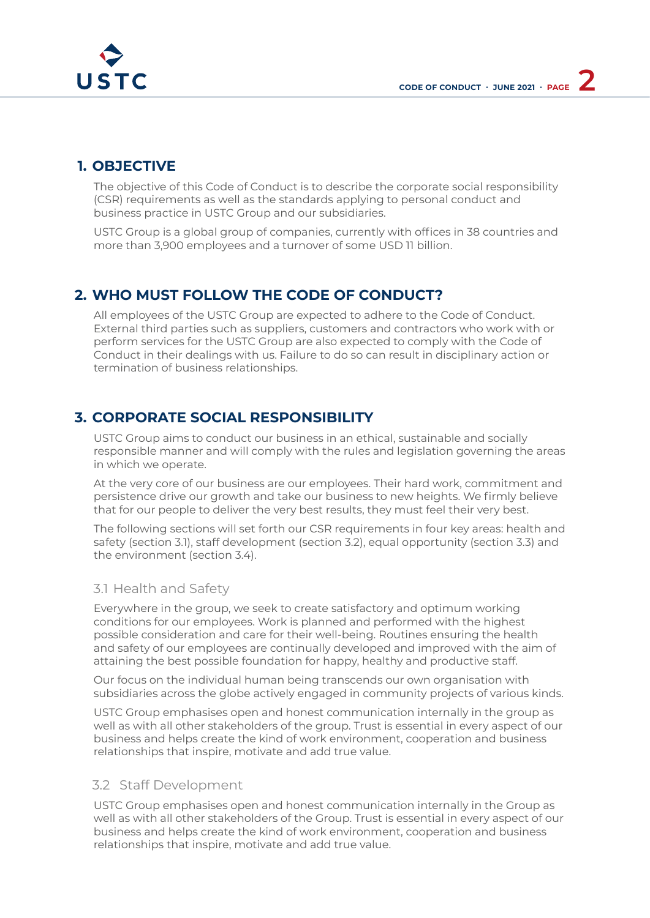

# **1. OBJECTIVE**

The objective of this Code of Conduct is to describe the corporate social responsibility (CSR) requirements as well as the standards applying to personal conduct and business practice in USTC Group and our subsidiaries.

USTC Group is a global group of companies, currently with offices in 38 countries and more than 3,900 employees and a turnover of some USD 11 billion.

# **2. WHO MUST FOLLOW THE CODE OF CONDUCT?**

All employees of the USTC Group are expected to adhere to the Code of Conduct. External third parties such as suppliers, customers and contractors who work with or perform services for the USTC Group are also expected to comply with the Code of Conduct in their dealings with us. Failure to do so can result in disciplinary action or termination of business relationships.

# **3. CORPORATE SOCIAL RESPONSIBILITY**

USTC Group aims to conduct our business in an ethical, sustainable and socially responsible manner and will comply with the rules and legislation governing the areas in which we operate.

At the very core of our business are our employees. Their hard work, commitment and persistence drive our growth and take our business to new heights. We firmly believe that for our people to deliver the very best results, they must feel their very best.

The following sections will set forth our CSR requirements in four key areas: health and safety (section 3.1), staff development (section 3.2), equal opportunity (section 3.3) and the environment (section 3.4).

## 3.1 Health and Safety

Everywhere in the group, we seek to create satisfactory and optimum working conditions for our employees. Work is planned and performed with the highest possible consideration and care for their well-being. Routines ensuring the health and safety of our employees are continually developed and improved with the aim of attaining the best possible foundation for happy, healthy and productive staff.

Our focus on the individual human being transcends our own organisation with subsidiaries across the globe actively engaged in community projects of various kinds.

USTC Group emphasises open and honest communication internally in the group as well as with all other stakeholders of the group. Trust is essential in every aspect of our business and helps create the kind of work environment, cooperation and business relationships that inspire, motivate and add true value.

## 3.2 Staff Development

USTC Group emphasises open and honest communication internally in the Group as well as with all other stakeholders of the Group. Trust is essential in every aspect of our business and helps create the kind of work environment, cooperation and business relationships that inspire, motivate and add true value.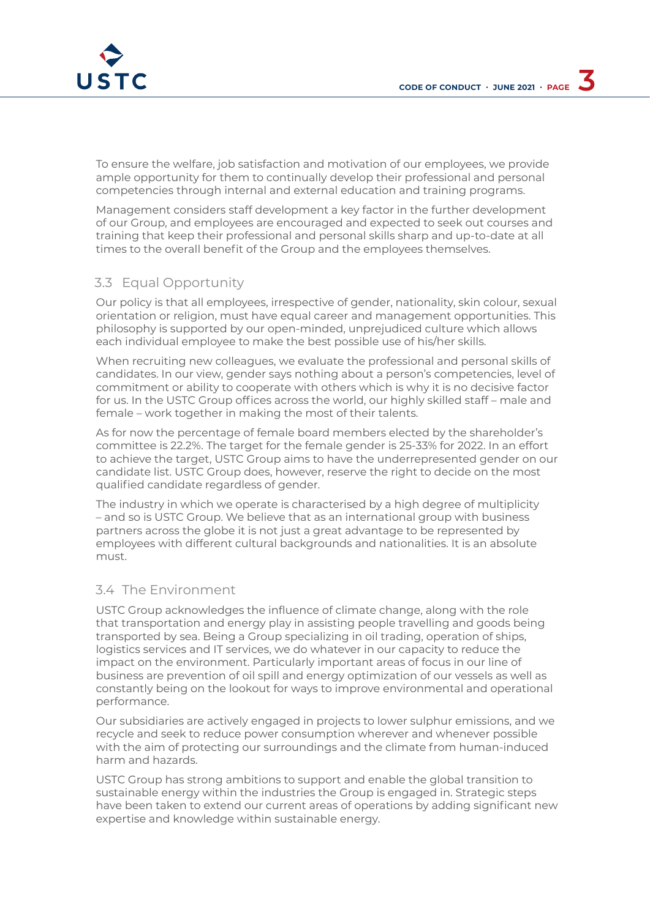

To ensure the welfare, job satisfaction and motivation of our employees, we provide ample opportunity for them to continually develop their professional and personal competencies through internal and external education and training programs.

Management considers staff development a key factor in the further development of our Group, and employees are encouraged and expected to seek out courses and training that keep their professional and personal skills sharp and up-to-date at all times to the overall benefit of the Group and the employees themselves.

## 3.3 Equal Opportunity

Our policy is that all employees, irrespective of gender, nationality, skin colour, sexual orientation or religion, must have equal career and management opportunities. This philosophy is supported by our open-minded, unprejudiced culture which allows each individual employee to make the best possible use of his/her skills.

When recruiting new colleagues, we evaluate the professional and personal skills of candidates. In our view, gender says nothing about a person's competencies, level of commitment or ability to cooperate with others which is why it is no decisive factor for us. In the USTC Group offices across the world, our highly skilled staff – male and female – work together in making the most of their talents.

As for now the percentage of female board members elected by the shareholder's committee is 22.2%. The target for the female gender is 25-33% for 2022. In an effort to achieve the target, USTC Group aims to have the underrepresented gender on our candidate list. USTC Group does, however, reserve the right to decide on the most qualified candidate regardless of gender.

The industry in which we operate is characterised by a high degree of multiplicity – and so is USTC Group. We believe that as an international group with business partners across the globe it is not just a great advantage to be represented by employees with different cultural backgrounds and nationalities. It is an absolute must.

## 3.4 The Environment

USTC Group acknowledges the influence of climate change, along with the role that transportation and energy play in assisting people travelling and goods being transported by sea. Being a Group specializing in oil trading, operation of ships, logistics services and IT services, we do whatever in our capacity to reduce the impact on the environment. Particularly important areas of focus in our line of business are prevention of oil spill and energy optimization of our vessels as well as constantly being on the lookout for ways to improve environmental and operational performance.

Our subsidiaries are actively engaged in projects to lower sulphur emissions, and we recycle and seek to reduce power consumption wherever and whenever possible with the aim of protecting our surroundings and the climate from human-induced harm and hazards.

USTC Group has strong ambitions to support and enable the global transition to sustainable energy within the industries the Group is engaged in. Strategic steps have been taken to extend our current areas of operations by adding significant new expertise and knowledge within sustainable energy.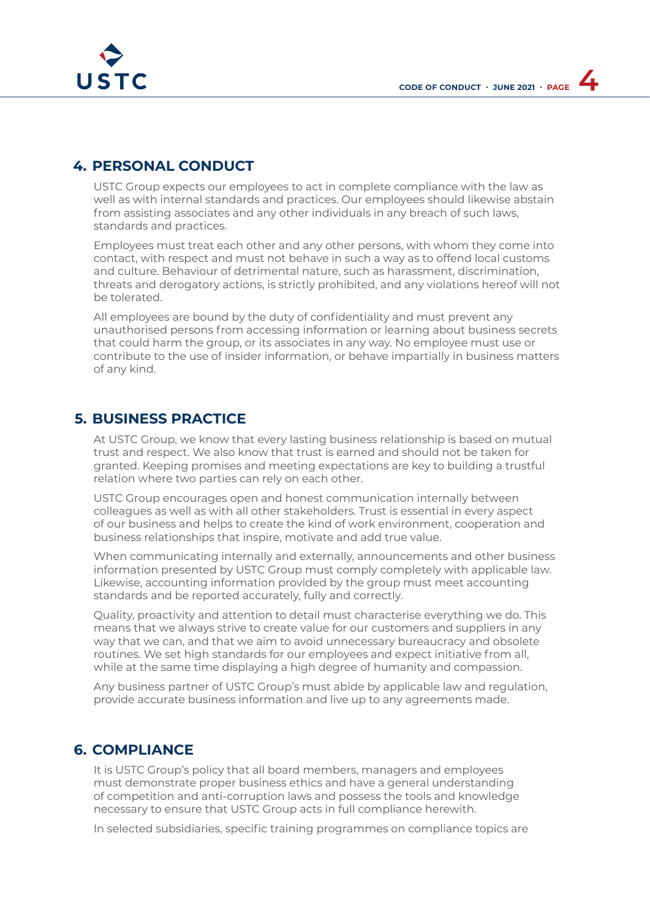

# **4. PERSONAL CONDUCT**

USTC Group expects our employees to act in complete compliance with the law as well as with internal standards and practices. Our employees should likewise abstain from assisting associates and any other individuals in any breach of such laws, standards and practices.

Employees must treat each other and any other persons, with whom they come into contact, with respect and must not behave in such a way as to offend local customs and culture. Behaviour of detrimental nature, such as harassment, discrimination, threats and derogatory actions, is strictly prohibited, and any violations hereof will not be tolerated.

All employees are bound by the duty of confidentiality and must prevent any unauthorised persons from accessing information or learning about business secrets that could harm the group, or its associates in any way. No employee must use or contribute to the use of insider information, or behave impartially in business matters of any kind.

## **5. BUSINESS PRACTICE**

At USTC Group, we know that every lasting business relationship is based on mutual trust and respect. We also know that trust is earned and should not be taken for granted. Keeping promises and meeting expectations are key to building a trustful relation where two parties can rely on each other.

USTC Group encourages open and honest communication internally between colleagues as well as with all other stakeholders. Trust is essential in every aspect of our business and helps to create the kind of work environment, cooperation and business relationships that inspire, motivate and add true value.

When communicating internally and externally, announcements and other business information presented by USTC Group must comply completely with applicable law. Likewise, accounting information provided by the group must meet accounting standards and be reported accurately, fully and correctly.

Quality, proactivity and attention to detail must characterise everything we do. This means that we always strive to create value for our customers and suppliers in any way that we can, and that we aim to avoid unnecessary bureaucracy and obsolete routines. We set high standards for our employees and expect initiative from all, while at the same time displaying a high degree of humanity and compassion.

Any business partner of USTC Group's must abide by applicable law and regulation, provide accurate business information and live up to any agreements made.

## **6. COMPLIANCE**

It is USTC Group's policy that all board members, managers and employees must demonstrate proper business ethics and have a general understanding of competition and anti-corruption laws and possess the tools and knowledge necessary to ensure that USTC Group acts in full compliance herewith.

In selected subsidiaries, specific training programmes on compliance topics are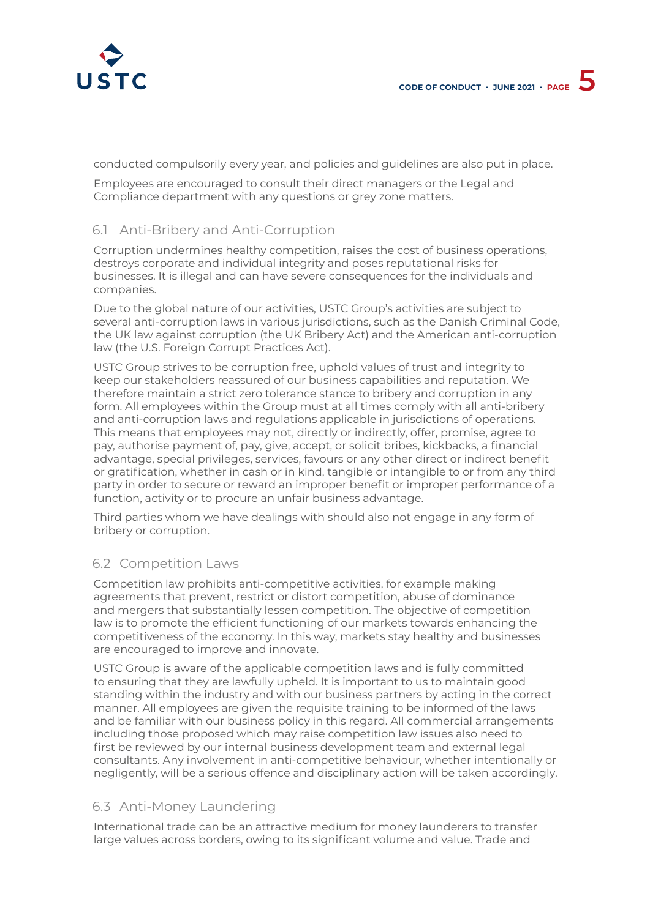

conducted compulsorily every year, and policies and guidelines are also put in place.

Employees are encouraged to consult their direct managers or the Legal and Compliance department with any questions or grey zone matters.

## 6.1 Anti-Bribery and Anti-Corruption

Corruption undermines healthy competition, raises the cost of business operations, destroys corporate and individual integrity and poses reputational risks for businesses. It is illegal and can have severe consequences for the individuals and companies.

Due to the global nature of our activities, USTC Group's activities are subject to several anti-corruption laws in various jurisdictions, such as the Danish Criminal Code, the UK law against corruption (the UK Bribery Act) and the American anti-corruption law (the U.S. Foreign Corrupt Practices Act).

USTC Group strives to be corruption free, uphold values of trust and integrity to keep our stakeholders reassured of our business capabilities and reputation. We therefore maintain a strict zero tolerance stance to bribery and corruption in any form. All employees within the Group must at all times comply with all anti-bribery and anti-corruption laws and regulations applicable in jurisdictions of operations. This means that employees may not, directly or indirectly, offer, promise, agree to pay, authorise payment of, pay, give, accept, or solicit bribes, kickbacks, a financial advantage, special privileges, services, favours or any other direct or indirect benefit or gratification, whether in cash or in kind, tangible or intangible to or from any third party in order to secure or reward an improper benefit or improper performance of a function, activity or to procure an unfair business advantage.

Third parties whom we have dealings with should also not engage in any form of bribery or corruption.

## 6.2 Competition Laws

Competition law prohibits anti-competitive activities, for example making agreements that prevent, restrict or distort competition, abuse of dominance and mergers that substantially lessen competition. The objective of competition law is to promote the efficient functioning of our markets towards enhancing the competitiveness of the economy. In this way, markets stay healthy and businesses are encouraged to improve and innovate.

USTC Group is aware of the applicable competition laws and is fully committed to ensuring that they are lawfully upheld. It is important to us to maintain good standing within the industry and with our business partners by acting in the correct manner. All employees are given the requisite training to be informed of the laws and be familiar with our business policy in this regard. All commercial arrangements including those proposed which may raise competition law issues also need to first be reviewed by our internal business development team and external legal consultants. Any involvement in anti-competitive behaviour, whether intentionally or negligently, will be a serious offence and disciplinary action will be taken accordingly.

## 6.3 Anti-Money Laundering

International trade can be an attractive medium for money launderers to transfer large values across borders, owing to its significant volume and value. Trade and